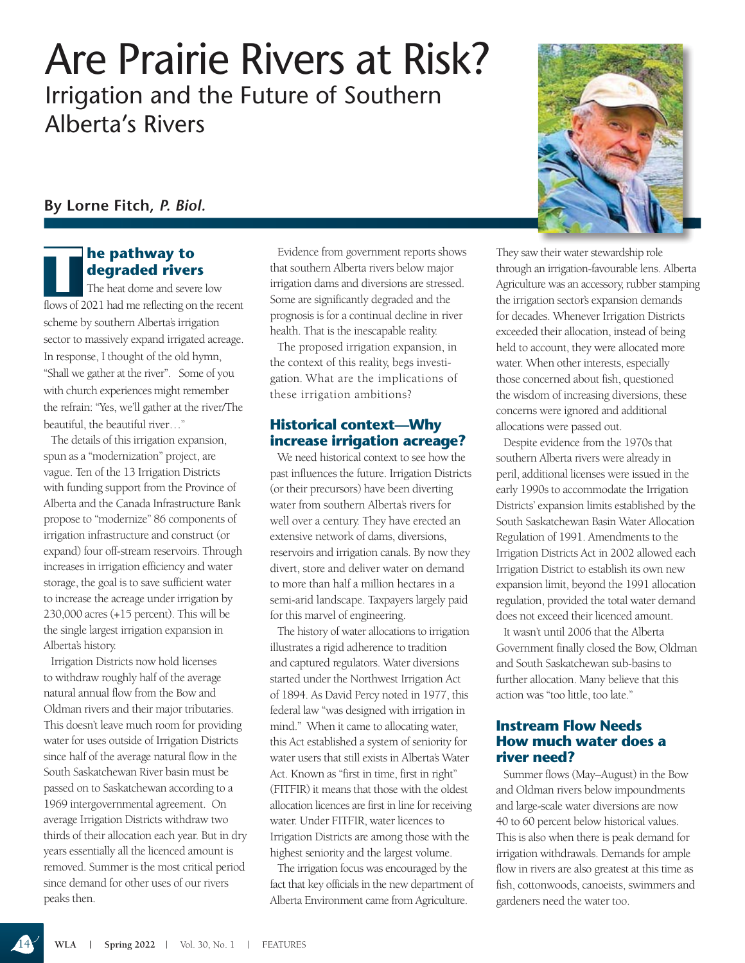# Are Prairie Rivers at Risk? Irrigation and the Future of Southern Alberta's Rivers

## **By Lorne Fitch,** *P. Biol.*

## **T he pathway to degraded rivers**

The heat dome and severe low flows of 2021 had me reflecting on the recent scheme by southern Alberta's irrigation sector to massively expand irrigated acreage. In response, I thought of the old hymn, "Shall we gather at the river". Some of you with church experiences might remember the refrain: "Yes, we'll gather at the river/The beautiful, the beautiful river…"

The details of this irrigation expansion, spun as a "modernization" project, are vague. Ten of the 13 Irrigation Districts with funding support from the Province of Alberta and the Canada Infrastructure Bank propose to "modernize" 86 components of irrigation infrastructure and construct (or expand) four off-stream reservoirs. Through increases in irrigation efficiency and water storage, the goal is to save sufficient water to increase the acreage under irrigation by 230,000 acres (+15 percent). This will be the single largest irrigation expansion in Alberta's history.

Irrigation Districts now hold licenses to withdraw roughly half of the average natural annual flow from the Bow and Oldman rivers and their major tributaries. This doesn't leave much room for providing water for uses outside of Irrigation Districts since half of the average natural flow in the South Saskatchewan River basin must be passed on to Saskatchewan according to a 1969 intergovernmental agreement. On average Irrigation Districts withdraw two thirds of their allocation each year. But in dry years essentially all the licenced amount is removed. Summer is the most critical period since demand for other uses of our rivers peaks then.

Evidence from government reports shows that southern Alberta rivers below major irrigation dams and diversions are stressed. Some are significantly degraded and the prognosis is for a continual decline in river health. That is the inescapable reality.

The proposed irrigation expansion, in the context of this reality, begs investigation. What are the implications of these irrigation ambitions?

### **Historical context—Why increase irrigation acreage?**

We need historical context to see how the past influences the future. Irrigation Districts (or their precursors) have been diverting water from southern Alberta's rivers for well over a century. They have erected an extensive network of dams, diversions, reservoirs and irrigation canals. By now they divert, store and deliver water on demand to more than half a million hectares in a semi-arid landscape. Taxpayers largely paid for this marvel of engineering.

The history of water allocations to irrigation illustrates a rigid adherence to tradition and captured regulators. Water diversions started under the Northwest Irrigation Act of 1894. As David Percy noted in 1977, this federal law "was designed with irrigation in mind." When it came to allocating water, this Act established a system of seniority for water users that still exists in Alberta's Water Act. Known as "first in time, first in right" (FITFIR) it means that those with the oldest allocation licences are first in line for receiving water. Under FITFIR, water licences to Irrigation Districts are among those with the highest seniority and the largest volume.

The irrigation focus was encouraged by the fact that key officials in the new department of Alberta Environment came from Agriculture.

They saw their water stewardship role through an irrigation-favourable lens. Alberta Agriculture was an accessory, rubber stamping the irrigation sector's expansion demands for decades. Whenever Irrigation Districts exceeded their allocation, instead of being held to account, they were allocated more water. When other interests, especially those concerned about fish, questioned the wisdom of increasing diversions, these concerns were ignored and additional allocations were passed out.

Despite evidence from the 1970s that southern Alberta rivers were already in peril, additional licenses were issued in the early 1990s to accommodate the Irrigation Districts' expansion limits established by the South Saskatchewan Basin Water Allocation Regulation of 1991. Amendments to the Irrigation Districts Act in 2002 allowed each Irrigation District to establish its own new expansion limit, beyond the 1991 allocation regulation, provided the total water demand does not exceed their licenced amount.

It wasn't until 2006 that the Alberta Government finally closed the Bow, Oldman and South Saskatchewan sub-basins to further allocation. Many believe that this action was "too little, too late."

#### **Instream Flow Needs How much water does a river need?**

Summer flows (May–August) in the Bow and Oldman rivers below impoundments and large-scale water diversions are now 40 to 60 percent below historical values. This is also when there is peak demand for irrigation withdrawals. Demands for ample flow in rivers are also greatest at this time as fish, cottonwoods, canoeists, swimmers and gardeners need the water too.

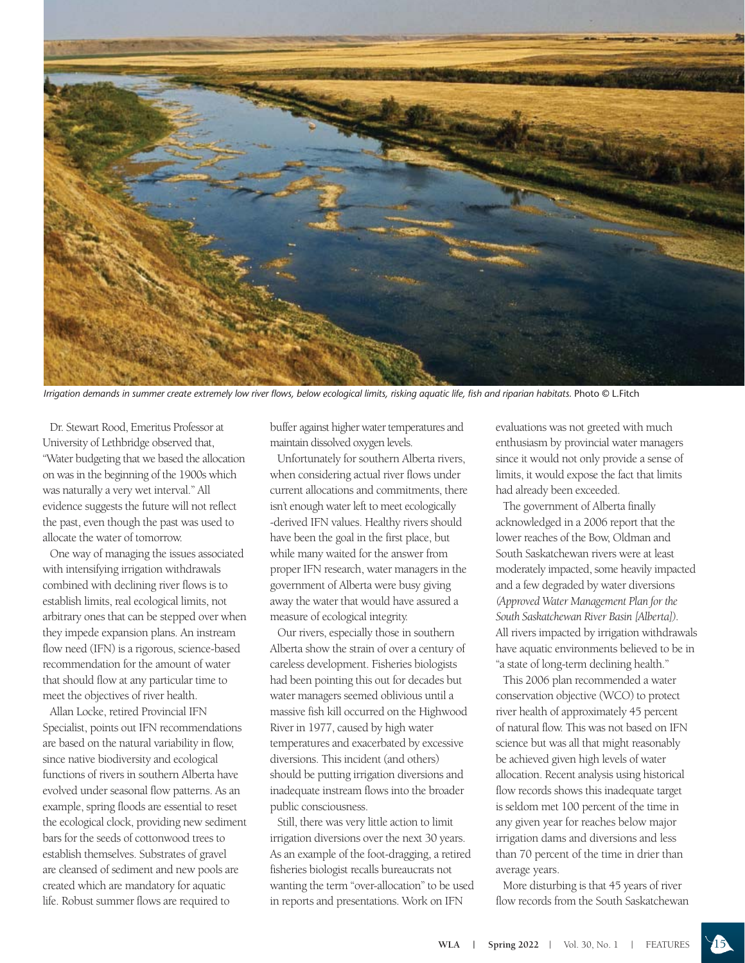

*Irrigation demands in summer create extremely low river flows, below ecological limits, risking aquatic life, fish and riparian habitats.* Photo © L.Fitch

Dr. Stewart Rood, Emeritus Professor at University of Lethbridge observed that, "Water budgeting that we based the allocation on was in the beginning of the 1900s which was naturally a very wet interval." All evidence suggests the future will not reflect the past, even though the past was used to allocate the water of tomorrow.

One way of managing the issues associated with intensifying irrigation withdrawals combined with declining river flows is to establish limits, real ecological limits, not arbitrary ones that can be stepped over when they impede expansion plans. An instream flow need (IFN) is a rigorous, science-based recommendation for the amount of water that should flow at any particular time to meet the objectives of river health.

Allan Locke, retired Provincial IFN Specialist, points out IFN recommendations are based on the natural variability in flow, since native biodiversity and ecological functions of rivers in southern Alberta have evolved under seasonal flow patterns. As an example, spring floods are essential to reset the ecological clock, providing new sediment bars for the seeds of cottonwood trees to establish themselves. Substrates of gravel are cleansed of sediment and new pools are created which are mandatory for aquatic life. Robust summer flows are required to

buffer against higher water temperatures and maintain dissolved oxygen levels.

Unfortunately for southern Alberta rivers, when considering actual river flows under current allocations and commitments, there isn't enough water left to meet ecologically -derived IFN values. Healthy rivers should have been the goal in the first place, but while many waited for the answer from proper IFN research, water managers in the government of Alberta were busy giving away the water that would have assured a measure of ecological integrity.

Our rivers, especially those in southern Alberta show the strain of over a century of careless development. Fisheries biologists had been pointing this out for decades but water managers seemed oblivious until a massive fish kill occurred on the Highwood River in 1977, caused by high water temperatures and exacerbated by excessive diversions. This incident (and others) should be putting irrigation diversions and inadequate instream flows into the broader public consciousness.

Still, there was very little action to limit irrigation diversions over the next 30 years. As an example of the foot-dragging, a retired fisheries biologist recalls bureaucrats not wanting the term "over-allocation" to be used in reports and presentations. Work on IFN

evaluations was not greeted with much enthusiasm by provincial water managers since it would not only provide a sense of limits, it would expose the fact that limits had already been exceeded.

The government of Alberta finally acknowledged in a 2006 report that the lower reaches of the Bow, Oldman and South Saskatchewan rivers were at least moderately impacted, some heavily impacted and a few degraded by water diversions *(Approved Water Management Plan for the South Saskatchewan River Basin [Alberta]).* All rivers impacted by irrigation withdrawals have aquatic environments believed to be in "a state of long-term declining health."

This 2006 plan recommended a water conservation objective (WCO) to protect river health of approximately 45 percent of natural flow. This was not based on IFN science but was all that might reasonably be achieved given high levels of water allocation. Recent analysis using historical flow records shows this inadequate target is seldom met 100 percent of the time in any given year for reaches below major irrigation dams and diversions and less than 70 percent of the time in drier than average years.

More disturbing is that 45 years of river flow records from the South Saskatchewan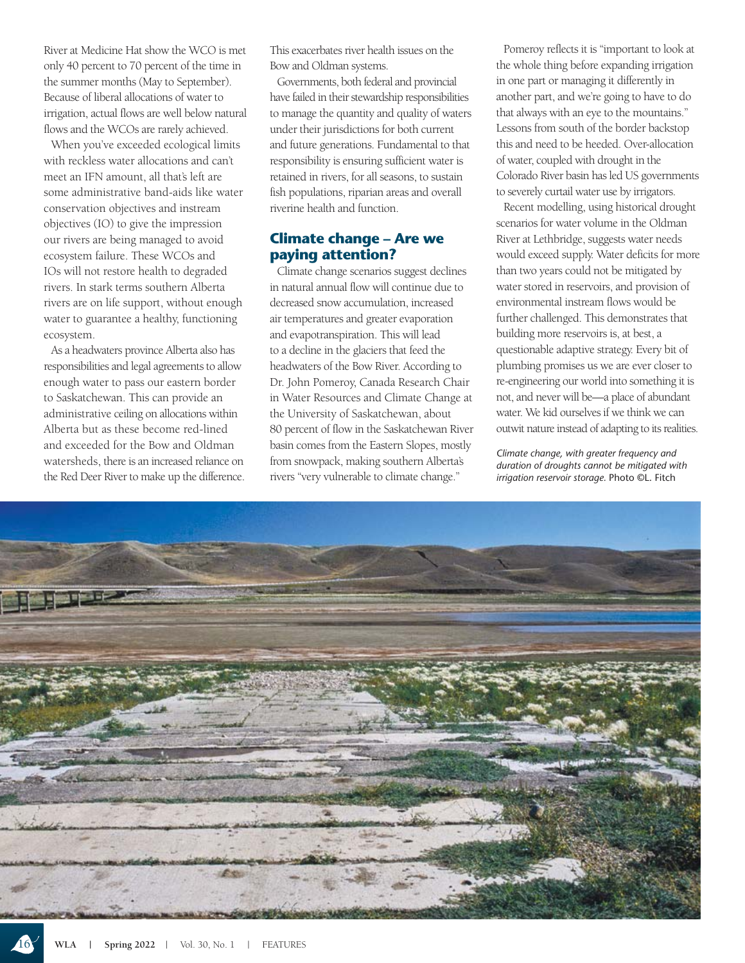River at Medicine Hat show the WCO is met only 40 percent to 70 percent of the time in the summer months (May to September). Because of liberal allocations of water to irrigation, actual flows are well below natural flows and the WCOs are rarely achieved.

When you've exceeded ecological limits with reckless water allocations and can't meet an IFN amount, all that's left are some administrative band-aids like water conservation objectives and instream objectives (IO) to give the impression our rivers are being managed to avoid ecosystem failure. These WCOs and IOs will not restore health to degraded rivers. In stark terms southern Alberta rivers are on life support, without enough water to guarantee a healthy, functioning ecosystem.

As a headwaters province Alberta also has responsibilities and legal agreements to allow enough water to pass our eastern border to Saskatchewan. This can provide an administrative ceiling on allocations within Alberta but as these become red-lined and exceeded for the Bow and Oldman watersheds, there is an increased reliance on the Red Deer River to make up the difference. This exacerbates river health issues on the Bow and Oldman systems.

Governments, both federal and provincial have failed in their stewardship responsibilities to manage the quantity and quality of waters under their jurisdictions for both current and future generations. Fundamental to that responsibility is ensuring sufficient water is retained in rivers, for all seasons, to sustain fish populations, riparian areas and overall riverine health and function.

#### **Climate change – Are we paying attention?**

Climate change scenarios suggest declines in natural annual flow will continue due to decreased snow accumulation, increased air temperatures and greater evaporation and evapotranspiration. This will lead to a decline in the glaciers that feed the headwaters of the Bow River. According to Dr. John Pomeroy, Canada Research Chair in Water Resources and Climate Change at the University of Saskatchewan, about 80 percent of flow in the Saskatchewan River basin comes from the Eastern Slopes, mostly from snowpack, making southern Alberta's rivers "very vulnerable to climate change."

Pomeroy reflects it is "important to look at the whole thing before expanding irrigation in one part or managing it differently in another part, and we're going to have to do that always with an eye to the mountains." Lessons from south of the border backstop this and need to be heeded. Over-allocation of water, coupled with drought in the Colorado River basin has led US governments to severely curtail water use by irrigators.

Recent modelling, using historical drought scenarios for water volume in the Oldman River at Lethbridge, suggests water needs would exceed supply. Water deficits for more than two years could not be mitigated by water stored in reservoirs, and provision of environmental instream flows would be further challenged. This demonstrates that building more reservoirs is, at best, a questionable adaptive strategy. Every bit of plumbing promises us we are ever closer to re-engineering our world into something it is not, and never will be—a place of abundant water. We kid ourselves if we think we can outwit nature instead of adapting to its realities.

*Climate change, with greater frequency and duration of droughts cannot be mitigated with irrigation reservoir storage.* Photo ©L. Fitch

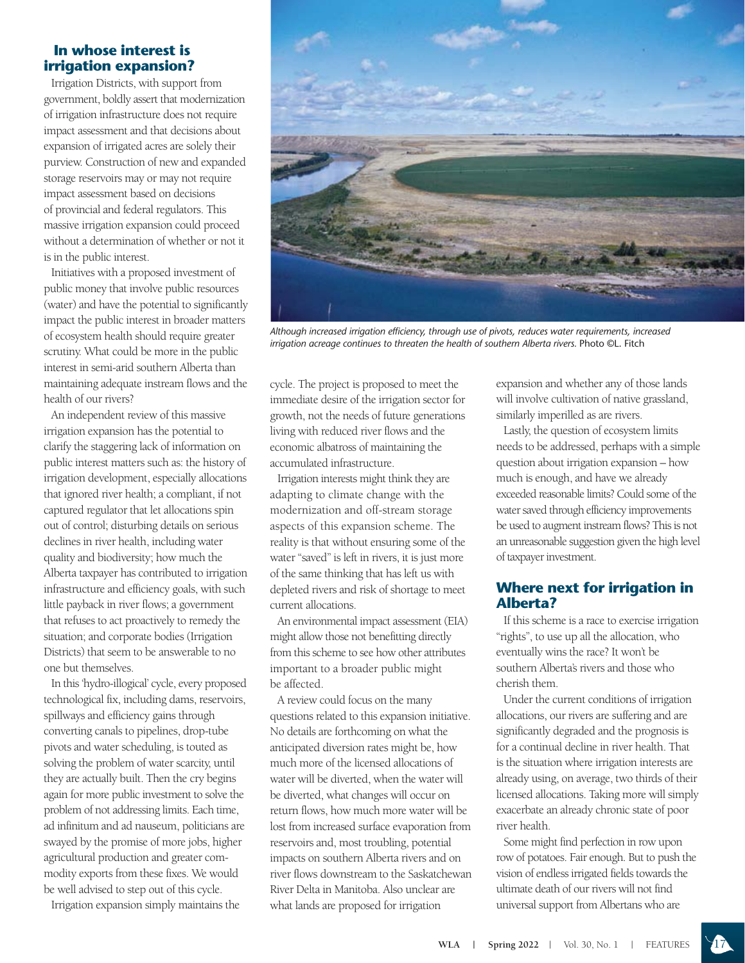#### **In whose interest is irrigation expansion?**

Irrigation Districts, with support from government, boldly assert that modernization of irrigation infrastructure does not require impact assessment and that decisions about expansion of irrigated acres are solely their purview. Construction of new and expanded storage reservoirs may or may not require impact assessment based on decisions of provincial and federal regulators. This massive irrigation expansion could proceed without a determination of whether or not it is in the public interest.

Initiatives with a proposed investment of public money that involve public resources (water) and have the potential to significantly impact the public interest in broader matters of ecosystem health should require greater scrutiny. What could be more in the public interest in semi-arid southern Alberta than maintaining adequate instream flows and the health of our rivers?

An independent review of this massive irrigation expansion has the potential to clarify the staggering lack of information on public interest matters such as: the history of irrigation development, especially allocations that ignored river health; a compliant, if not captured regulator that let allocations spin out of control; disturbing details on serious declines in river health, including water quality and biodiversity; how much the Alberta taxpayer has contributed to irrigation infrastructure and efficiency goals, with such little payback in river flows; a government that refuses to act proactively to remedy the situation; and corporate bodies (Irrigation Districts) that seem to be answerable to no one but themselves.

In this 'hydro-illogical' cycle, every proposed technological fix, including dams, reservoirs, spillways and efficiency gains through converting canals to pipelines, drop-tube pivots and water scheduling, is touted as solving the problem of water scarcity, until they are actually built. Then the cry begins again for more public investment to solve the problem of not addressing limits. Each time, ad infinitum and ad nauseum, politicians are swayed by the promise of more jobs, higher agricultural production and greater commodity exports from these fixes. We would be well advised to step out of this cycle.

Irrigation expansion simply maintains the



*Although increased irrigation efficiency, through use of pivots, reduces water requirements, increased irrigation acreage continues to threaten the health of southern Alberta rivers.* Photo ©L. Fitch

cycle. The project is proposed to meet the immediate desire of the irrigation sector for growth, not the needs of future generations living with reduced river flows and the economic albatross of maintaining the accumulated infrastructure.

Irrigation interests might think they are adapting to climate change with the modernization and off-stream storage aspects of this expansion scheme. The reality is that without ensuring some of the water "saved" is left in rivers, it is just more of the same thinking that has left us with depleted rivers and risk of shortage to meet current allocations.

An environmental impact assessment (EIA) might allow those not benefitting directly from this scheme to see how other attributes important to a broader public might be affected.

A review could focus on the many questions related to this expansion initiative. No details are forthcoming on what the anticipated diversion rates might be, how much more of the licensed allocations of water will be diverted, when the water will be diverted, what changes will occur on return flows, how much more water will be lost from increased surface evaporation from reservoirs and, most troubling, potential impacts on southern Alberta rivers and on river flows downstream to the Saskatchewan River Delta in Manitoba. Also unclear are what lands are proposed for irrigation

expansion and whether any of those lands will involve cultivation of native grassland, similarly imperilled as are rivers.

Lastly, the question of ecosystem limits needs to be addressed, perhaps with a simple question about irrigation expansion – how much is enough, and have we already exceeded reasonable limits? Could some of the water saved through efficiency improvements be used to augment instream flows? This is not an unreasonable suggestion given the high level of taxpayer investment.

#### **Where next for irrigation in Alberta?**

If this scheme is a race to exercise irrigation "rights", to use up all the allocation, who eventually wins the race? It won't be southern Alberta's rivers and those who cherish them.

Under the current conditions of irrigation allocations, our rivers are suffering and are significantly degraded and the prognosis is for a continual decline in river health. That is the situation where irrigation interests are already using, on average, two thirds of their licensed allocations. Taking more will simply exacerbate an already chronic state of poor river health.

Some might find perfection in row upon row of potatoes. Fair enough. But to push the vision of endless irrigated fields towards the ultimate death of our rivers will not find universal support from Albertans who are